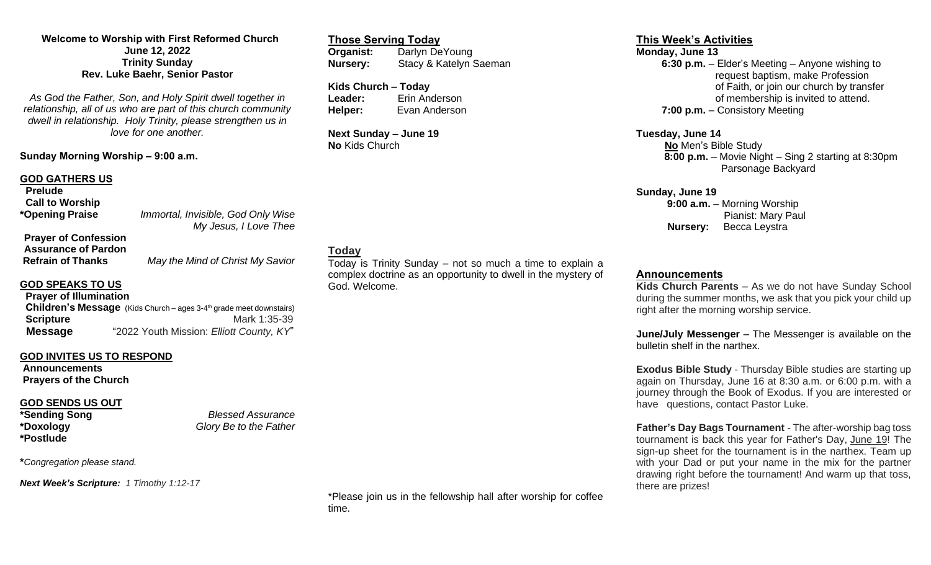### **Welcome to Worship with First Reformed Church June 12, 2022 Trinity Sunday Rev. Luke Baehr, Senior Pastor**

*As God the Father, Son, and Holy Spirit dwell together in relationship, all of us who are part of this church community dwell in relationship. Holy Trinity, please strengthen us in love for one another.*

### **Sunday Morning Worship – 9:00 a.m.**

#### **GOD GATHERS US**

| <b>Prelude</b>                                            |                                                             |
|-----------------------------------------------------------|-------------------------------------------------------------|
| <b>Call to Worship</b>                                    |                                                             |
| *Opening Praise                                           | Immortal, Invisible, God Only Wise<br>My Jesus, I Love Thee |
| <b>Prayer of Confession</b><br><b>Assurance of Pardon</b> |                                                             |

## **GOD SPEAKS TO US**

**Prayer of Illumination Children's Message** (Kids Church – ages 3-4<sup>th</sup> grade meet downstairs) **Scripture Mark 1:35-39 Message** "2022 Youth Mission: *Elliott County, KY*"

### **GOD INVITES US TO RESPOND**

**Announcements Prayers of the Church**

# **GOD SENDS US OUT**

**\*Postlude**

**\*Sending Song** *Blessed Assurance* **\*Doxology** *Glory Be to the Father*

**\****Congregation please stand.*

*Next Week's Scripture: 1 Timothy 1:12-17*

#### \*Please join us in the fellowship hall after worship for coffee time.

Today is Trinity Sunday – not so much a time to explain a complex doctrine as an opportunity to dwell in the mystery of

#### **This Week's Activities**

**Monday, June 13 6:30 p.m.** – Elder's Meeting – Anyone wishing to request baptism, make Profession of Faith, or join our church by transfer of membership is invited to attend. **7:00 p.m.** – Consistory Meeting

**Tuesday, June 14 No** Men's Bible Study  **8:00 p.m.** – Movie Night – Sing 2 starting at 8:30pm Parsonage Backyard

**Sunday, June 19 9:00 a.m.** – Morning Worship Pianist: Mary Paul **Nursery:** Becca Leystra

#### **Announcements**

**Kids Church Parents** – As we do not have Sunday School during the summer months, we ask that you pick your child up right after the morning worship service.

**June/July Messenger** – The Messenger is available on the bulletin shelf in the narthex.

**Exodus Bible Study** - Thursday Bible studies are starting up again on Thursday, June 16 at 8:30 a.m. or 6:00 p.m. with a journey through the Book of Exodus. If you are interested or have questions, contact Pastor Luke.

**Father's Day Bags Tournament** - The after-worship bag toss tournament is back this year for Father's Day, June 19! The sign-up sheet for the tournament is in the narthex. Team up with your Dad or put your name in the mix for the partner drawing right before the tournament! And warm up that toss, there are prizes!

**Refrain of Thanks** *May the Mind of Christ My Savior*

# **Kids Church – Today**

**Today**

God. Welcome.

**Leader:** Erin Anderson **Helper:** Evan Anderson

**Organist:** Darlyn DeYoung

**Nursery:** Stacy & Katelyn Saeman

**Next Sunday – June 19 No** Kids Church

**Those Serving Today**